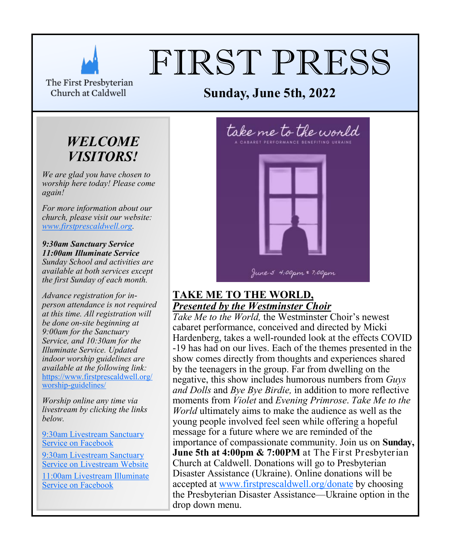

# FIRST PRESS

The First Presbyterian Church at Caldwell

# *WELCOME VISITORS!*

*We are glad you have chosen to worship here today! Please come again!*

*For more information about our church, please visit our website: [www.firstprescaldwell.org.](http://www.firstprescaldwell.org)* 

*9:30am Sanctuary Service 11:00am Illuminate Service Sunday School and activities are available at both services except the first Sunday of each month.* 

*Advance registration for inperson attendance is not required at this time. All registration will be done on-site beginning at 9:00am for the Sanctuary Service, and 10:30am for the Illuminate Service. Updated indoor worship guidelines are available at the following link:* [https://www.firstprescaldwell.org/](https://www.firstprescaldwell.org/worship-guidelines/) [worship-guidelines/](https://www.firstprescaldwell.org/worship-guidelines/)

*Worship online any time via livestream by clicking the links below.* 

[9:30am Livestream Sanctuary](https://www.facebook.com/firstprescaldwell/)  [Service on Facebook](https://www.facebook.com/firstprescaldwell/)

[9:30am Livestream Sanctuary](https://livestream.com/accounts/21941295)  [Service on Livestream Website](https://livestream.com/accounts/21941295)

[11:00am Livestream Illuminate](https://www.facebook.com/illuminateNJ/)  [Service on Facebook](https://www.facebook.com/illuminateNJ/)



# **TAKE ME TO THE WORLD,**  *Presented by the Westminster Choir*

*Take Me to the World,* the Westminster Choir's newest cabaret performance, conceived and directed by Micki Hardenberg, takes a well-rounded look at the effects COVID -19 has had on our lives. Each of the themes presented in the show comes directly from thoughts and experiences shared by the teenagers in the group. Far from dwelling on the negative, this show includes humorous numbers from *Guys and Dolls* and *Bye Bye Birdie,* in addition to more reflective moments from *Violet* and *Evening Primrose*. *Take Me to the World* ultimately aims to make the audience as well as the young people involved feel seen while offering a hopeful message for a future where we are reminded of the importance of compassionate community. Join us on **Sunday, June 5th at 4:00pm & 7:00PM** at The First Presbyterian Church at Caldwell. Donations will go to Presbyterian Disaster Assistance (Ukraine). Online donations will be accepted at [www.firstprescaldwell.org/donate](http://www.firstprescaldwell.org/donate) by choosing the Presbyterian Disaster Assistance—Ukraine option in the drop down menu.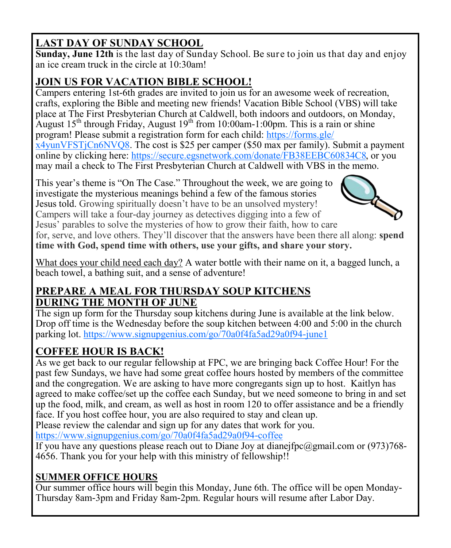# **LAST DAY OF SUNDAY SCHOOL**

**Sunday, June 12th** is the last day of Sunday School. Be sure to join us that day and enjoy an ice cream truck in the circle at 10:30am!

# **JOIN US FOR VACATION BIBLE SCHOOL!**

Campers entering 1st-6th grades are invited to join us for an awesome week of recreation, crafts, exploring the Bible and meeting new friends! Vacation Bible School (VBS) will take place at The First Presbyterian Church at Caldwell, both indoors and outdoors, on Monday, August 15<sup>th</sup> through Friday, August 19<sup>th</sup> from 10:00am-1:00pm. This is a rain or shine program! Please submit a registration form for each child: [https://forms.gle/](https://forms.gle/x4yunVFSTjCn6NVQ8) [x4yunVFSTjCn6NVQ8.](https://forms.gle/x4yunVFSTjCn6NVQ8) The cost is \$25 per camper (\$50 max per family). Submit a payment online by clicking here: [https://secure.egsnetwork.com/donate/FB38EEBC60834C8,](https://secure.egsnetwork.com/donate/FB38EEBC60834C8) or you may mail a check to The First Presbyterian Church at Caldwell with VBS in the memo.

This year's theme is "On The Case." Throughout the week, we are going to investigate the mysterious meanings behind a few of the famous stories Jesus told. Growing spiritually doesn't have to be an unsolved mystery! Campers will take a four-day journey as detectives digging into a few of Jesus' parables to solve the mysteries of how to grow their faith, how to care



for, serve, and love others. They'll discover that the answers have been there all along: **spend time with God, spend time with others, use your gifts, and share your story.**

What does your child need each day? A water bottle with their name on it, a bagged lunch, a beach towel, a bathing suit, and a sense of adventure!

# **PREPARE A MEAL FOR THURSDAY SOUP KITCHENS DURING THE MONTH OF JUNE**

The sign up form for the Thursday soup kitchens during June is available at the link below. Drop off time is the Wednesday before the soup kitchen between 4:00 and 5:00 in the church parking lot.<https://www.signupgenius.com/go/70a0f4fa5ad29a0f94-june1>

# **COFFEE HOUR IS BACK!**

As we get back to our regular fellowship at FPC, we are bringing back Coffee Hour! For the past few Sundays, we have had some great coffee hours hosted by members of the committee and the congregation. We are asking to have more congregants sign up to host. Kaitlyn has agreed to make coffee/set up the coffee each Sunday, but we need someone to bring in and set up the food, milk, and cream, as well as host in room 120 to offer assistance and be a friendly face. If you host coffee hour, you are also required to stay and clean up.

Please review the calendar and sign up for any dates that work for you.

<https://www.signupgenius.com/go/70a0f4fa5ad29a0f94-coffee>

If you have any questions please reach out to Diane Joy at dianejfpc@gmail.com or  $(973)768$ -4656. Thank you for your help with this ministry of fellowship!!

# **SUMMER OFFICE HOURS**

Our summer office hours will begin this Monday, June 6th. The office will be open Monday-Thursday 8am-3pm and Friday 8am-2pm. Regular hours will resume after Labor Day.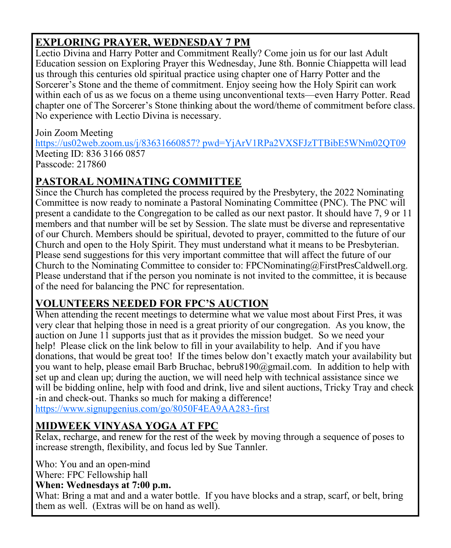# **EXPLORING PRAYER, WEDNESDAY 7 PM**

Lectio Divina and Harry Potter and Commitment Really? Come join us for our last Adult Education session on Exploring Prayer this Wednesday, June 8th. Bonnie Chiappetta will lead us through this centuries old spiritual practice using chapter one of Harry Potter and the Sorcerer's Stone and the theme of commitment. Enjoy seeing how the Holy Spirit can work within each of us as we focus on a theme using unconventional texts—even Harry Potter. Read chapter one of The Sorcerer's Stone thinking about the word/theme of commitment before class. No experience with Lectio Divina is necessary.

# Join Zoom Meeting

[https://us02web.zoom.us/j/83631660857? pwd=YjArV1RPa2VXSFJzTTBibE5WNm02QT09](https://us02web.zoom.us/j/83631660857?%20pwd=YjArV1RPa2VXSFJzTTBibE5WNm02QT09) Meeting ID: 836 3166 0857 Passcode: 217860

# **PASTORAL NOMINATING COMMITTEE**

Since the Church has completed the process required by the Presbytery, the 2022 Nominating Committee is now ready to nominate a Pastoral Nominating Committee (PNC). The PNC will present a candidate to the Congregation to be called as our next pastor. It should have 7, 9 or 11 members and that number will be set by Session. The slate must be diverse and representative of our Church. Members should be spiritual, devoted to prayer, committed to the future of our Church and open to the Holy Spirit. They must understand what it means to be Presbyterian. Please send suggestions for this very important committee that will affect the future of our Church to the Nominating Committee to consider to: FPCNominating@FirstPresCaldwell.org. Please understand that if the person you nominate is not invited to the committee, it is because of the need for balancing the PNC for representation.

# **VOLUNTEERS NEEDED FOR FPC'S AUCTION**

When attending the recent meetings to determine what we value most about First Pres, it was very clear that helping those in need is a great priority of our congregation. As you know, the auction on June 11 supports just that as it provides the mission budget. So we need your help! Please click on the link below to fill in your availability to help. And if you have donations, that would be great too! If the times below don't exactly match your availability but you want to help, please email Barb Bruchac, bebru8190@gmail.com. In addition to help with set up and clean up; during the auction, we will need help with technical assistance since we will be bidding online, help with food and drink, live and silent auctions, Tricky Tray and check -in and check-out. Thanks so much for making a difference!

<https://www.signupgenius.com/go/8050F4EA9AA283-first>

# **MIDWEEK VINYASA YOGA AT FPC**

Relax, recharge, and renew for the rest of the week by moving through a sequence of poses to increase strength, flexibility, and focus led by Sue Tannler.

Who: You and an open-mind

Where: FPC Fellowship hall

**When: Wednesdays at 7:00 p.m.** 

What: Bring a mat and and a water bottle. If you have blocks and a strap, scarf, or belt, bring them as well. (Extras will be on hand as well).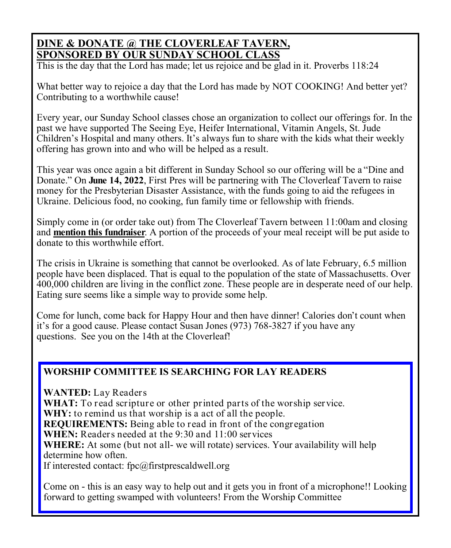### **DINE & DONATE @ THE CLOVERLEAF TAVERN, SPONSORED BY OUR SUNDAY SCHOOL CLASS**

This is the day that the Lord has made; let us rejoice and be glad in it. Proverbs 118:24

What better way to rejoice a day that the Lord has made by NOT COOKING! And better yet? Contributing to a worthwhile cause!

Every year, our Sunday School classes chose an organization to collect our offerings for. In the past we have supported The Seeing Eye, Heifer International, Vitamin Angels, St. Jude Children's Hospital and many others. It's always fun to share with the kids what their weekly offering has grown into and who will be helped as a result.

This year was once again a bit different in Sunday School so our offering will be a "Dine and Donate." On **June 14, 2022**, First Pres will be partnering with The Cloverleaf Tavern to raise money for the Presbyterian Disaster Assistance, with the funds going to aid the refugees in Ukraine. Delicious food, no cooking, fun family time or fellowship with friends.

Simply come in (or order take out) from The Cloverleaf Tavern between 11:00am and closing and **mention this fundraiser**. A portion of the proceeds of your meal receipt will be put aside to donate to this worthwhile effort.

The crisis in Ukraine is something that cannot be overlooked. As of late February, 6.5 million people have been displaced. That is equal to the population of the state of Massachusetts. Over 400,000 children are living in the conflict zone. These people are in desperate need of our help. Eating sure seems like a simple way to provide some help.

Come for lunch, come back for Happy Hour and then have dinner! Calories don't count when it's for a good cause. Please contact Susan Jones (973) 768-3827 if you have any questions. See you on the 14th at the Cloverleaf!

#### **WORSHIP COMMITTEE IS SEARCHING FOR LAY READERS**

**WANTED:** Lay Readers **WHAT:** To read scripture or other printed parts of the worship service. **WHY:** to remind us that worship is a act of all the people. **REQUIREMENTS:** Being able to read in front of the congregation **WHEN:** Readers needed at the 9:30 and 11:00 services **WHERE:** At some (but not all- we will rotate) services. Your availability will help determine how often. If interested contact: fpc@firstprescaldwell.org

Come on - this is an easy way to help out and it gets you in front of a microphone!! Looking forward to getting swamped with volunteers! From the Worship Committee